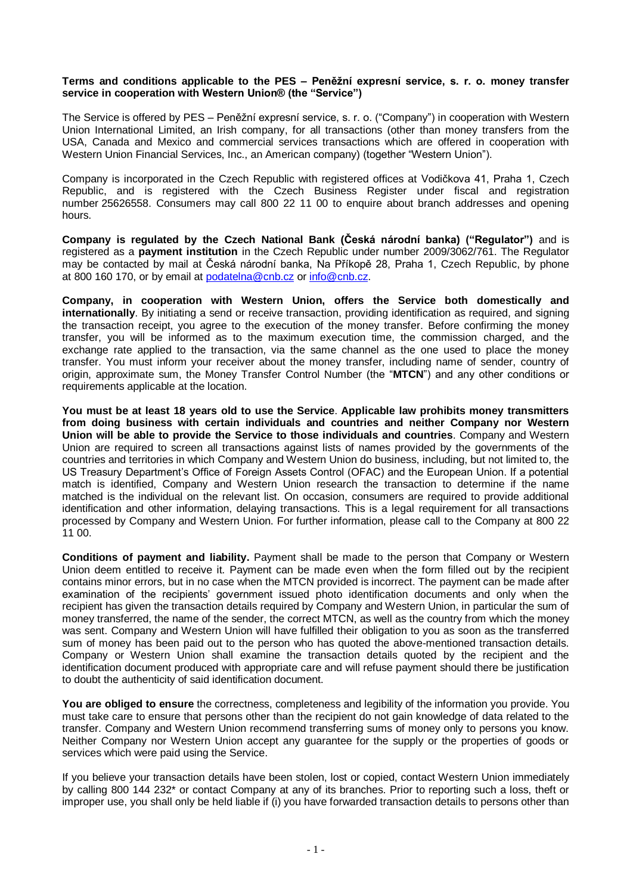## **Terms and conditions applicable to the PES – Peněžní expresní service, s. r. o. money transfer service in cooperation with Western Union® (the "Service")**

The Service is offered by PES – Peněžní expresní service, s. r. o. ("Company") in cooperation with Western Union International Limited, an Irish company, for all transactions (other than money transfers from the USA, Canada and Mexico and commercial services transactions which are offered in cooperation with Western Union Financial Services, Inc., an American company) (together "Western Union").

Company is incorporated in the Czech Republic with registered offices at Vodičkova 41, Praha 1, Czech Republic, and is registered with the Czech Business Register under fiscal and registration number 25626558. Consumers may call 800 22 11 00 to enquire about branch addresses and opening hours.

**Company is regulated by the Czech National Bank (Česká národní banka) ("Regulator")** and is registered as a **payment institution** in the Czech Republic under number 2009/3062/761. The Regulator may be contacted by mail at Česká národní banka, Na Příkopě 28, Praha 1, Czech Republic, by phone at 800 160 170, or by email at [podatelna@cnb.cz](mailto:podatelna@cnb.cz) or [info@cnb.cz.](mailto:info@cnb.cz)

**Company, in cooperation with Western Union, offers the Service both domestically and internationally**. By initiating a send or receive transaction, providing identification as required, and signing the transaction receipt, you agree to the execution of the money transfer. Before confirming the money transfer, you will be informed as to the maximum execution time, the commission charged, and the exchange rate applied to the transaction, via the same channel as the one used to place the money transfer. You must inform your receiver about the money transfer, including name of sender, country of origin, approximate sum, the Money Transfer Control Number (the "**MTCN**") and any other conditions or requirements applicable at the location.

**You must be at least 18 years old to use the Service**. **Applicable law prohibits money transmitters from doing business with certain individuals and countries and neither Company nor Western Union will be able to provide the Service to those individuals and countries**. Company and Western Union are required to screen all transactions against lists of names provided by the governments of the countries and territories in which Company and Western Union do business, including, but not limited to, the US Treasury Department's Office of Foreign Assets Control (OFAC) and the European Union. If a potential match is identified, Company and Western Union research the transaction to determine if the name matched is the individual on the relevant list. On occasion, consumers are required to provide additional identification and other information, delaying transactions. This is a legal requirement for all transactions processed by Company and Western Union. For further information, please call to the Company at 800 22 11 00.

**Conditions of payment and liability.** Payment shall be made to the person that Company or Western Union deem entitled to receive it. Payment can be made even when the form filled out by the recipient contains minor errors, but in no case when the MTCN provided is incorrect. The payment can be made after examination of the recipients' government issued photo identification documents and only when the recipient has given the transaction details required by Company and Western Union, in particular the sum of money transferred, the name of the sender, the correct MTCN, as well as the country from which the money was sent. Company and Western Union will have fulfilled their obligation to you as soon as the transferred sum of money has been paid out to the person who has quoted the above-mentioned transaction details. Company or Western Union shall examine the transaction details quoted by the recipient and the identification document produced with appropriate care and will refuse payment should there be justification to doubt the authenticity of said identification document.

**You are obliged to ensure** the correctness, completeness and legibility of the information you provide. You must take care to ensure that persons other than the recipient do not gain knowledge of data related to the transfer. Company and Western Union recommend transferring sums of money only to persons you know. Neither Company nor Western Union accept any guarantee for the supply or the properties of goods or services which were paid using the Service.

If you believe your transaction details have been stolen, lost or copied, contact Western Union immediately by calling 800 144 232\* or contact Company at any of its branches. Prior to reporting such a loss, theft or improper use, you shall only be held liable if (i) you have forwarded transaction details to persons other than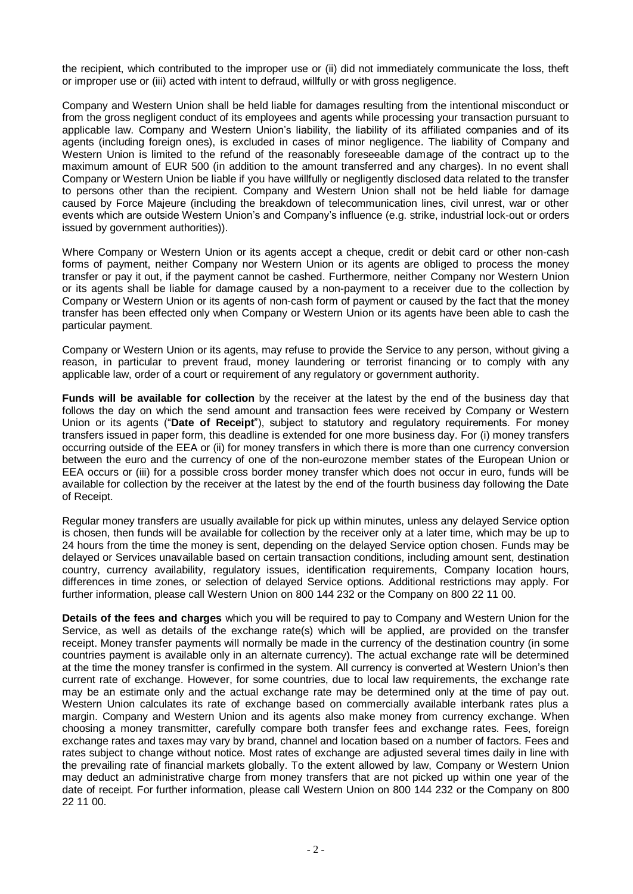the recipient, which contributed to the improper use or (ii) did not immediately communicate the loss, theft or improper use or (iii) acted with intent to defraud, willfully or with gross negligence.

Company and Western Union shall be held liable for damages resulting from the intentional misconduct or from the gross negligent conduct of its employees and agents while processing your transaction pursuant to applicable law. Company and Western Union's liability, the liability of its affiliated companies and of its agents (including foreign ones), is excluded in cases of minor negligence. The liability of Company and Western Union is limited to the refund of the reasonably foreseeable damage of the contract up to the maximum amount of EUR 500 (in addition to the amount transferred and any charges). In no event shall Company or Western Union be liable if you have willfully or negligently disclosed data related to the transfer to persons other than the recipient. Company and Western Union shall not be held liable for damage caused by Force Majeure (including the breakdown of telecommunication lines, civil unrest, war or other events which are outside Western Union's and Company's influence (e.g. strike, industrial lock-out or orders issued by government authorities)).

Where Company or Western Union or its agents accept a cheque, credit or debit card or other non-cash forms of payment, neither Company nor Western Union or its agents are obliged to process the money transfer or pay it out, if the payment cannot be cashed. Furthermore, neither Company nor Western Union or its agents shall be liable for damage caused by a non-payment to a receiver due to the collection by Company or Western Union or its agents of non-cash form of payment or caused by the fact that the money transfer has been effected only when Company or Western Union or its agents have been able to cash the particular payment.

Company or Western Union or its agents, may refuse to provide the Service to any person, without giving a reason, in particular to prevent fraud, money laundering or terrorist financing or to comply with any applicable law, order of a court or requirement of any regulatory or government authority.

**Funds will be available for collection** by the receiver at the latest by the end of the business day that follows the day on which the send amount and transaction fees were received by Company or Western Union or its agents ("**Date of Receipt**"), subject to statutory and regulatory requirements. For money transfers issued in paper form, this deadline is extended for one more business day. For (i) money transfers occurring outside of the EEA or (ii) for money transfers in which there is more than one currency conversion between the euro and the currency of one of the non-eurozone member states of the European Union or EEA occurs or (iii) for a possible cross border money transfer which does not occur in euro, funds will be available for collection by the receiver at the latest by the end of the fourth business day following the Date of Receipt.

Regular money transfers are usually available for pick up within minutes, unless any delayed Service option is chosen, then funds will be available for collection by the receiver only at a later time, which may be up to 24 hours from the time the money is sent, depending on the delayed Service option chosen. Funds may be delayed or Services unavailable based on certain transaction conditions, including amount sent, destination country, currency availability, regulatory issues, identification requirements, Company location hours, differences in time zones, or selection of delayed Service options. Additional restrictions may apply. For further information, please call Western Union on 800 144 232 or the Company on 800 22 11 00.

**Details of the fees and charges** which you will be required to pay to Company and Western Union for the Service, as well as details of the exchange rate(s) which will be applied, are provided on the transfer receipt. Money transfer payments will normally be made in the currency of the destination country (in some countries payment is available only in an alternate currency). The actual exchange rate will be determined at the time the money transfer is confirmed in the system. All currency is converted at Western Union's then current rate of exchange. However, for some countries, due to local law requirements, the exchange rate may be an estimate only and the actual exchange rate may be determined only at the time of pay out. Western Union calculates its rate of exchange based on commercially available interbank rates plus a margin. Company and Western Union and its agents also make money from currency exchange. When choosing a money transmitter, carefully compare both transfer fees and exchange rates. Fees, foreign exchange rates and taxes may vary by brand, channel and location based on a number of factors. Fees and rates subject to change without notice. Most rates of exchange are adjusted several times daily in line with the prevailing rate of financial markets globally. To the extent allowed by law, Company or Western Union may deduct an administrative charge from money transfers that are not picked up within one year of the date of receipt. For further information, please call Western Union on 800 144 232 or the Company on 800 22 11 00.